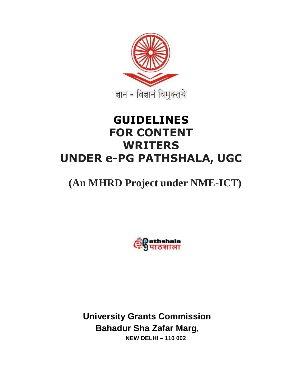

# **GUIDELINES FOR CONTENT WRITERS UNDER e-PG PATHSHALA, UGC**

# **(An MHRD Project under NME-ICT)**



**University Grants Commission Bahadur Sha Zafar Marg, NEW DELHI – 110 002**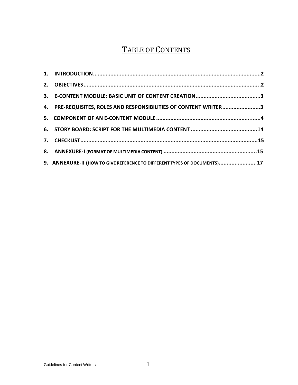# TABLE OF CONTENTS

| 4. PRE-REQUISITES, ROLES AND RESPONSIBILITIES OF CONTENT WRITER3         |  |
|--------------------------------------------------------------------------|--|
|                                                                          |  |
|                                                                          |  |
|                                                                          |  |
|                                                                          |  |
| 9. ANNEXURE-II (HOW TO GIVE REFERENCE TO DIFFERENT TYPES OF DOCUMENTS)17 |  |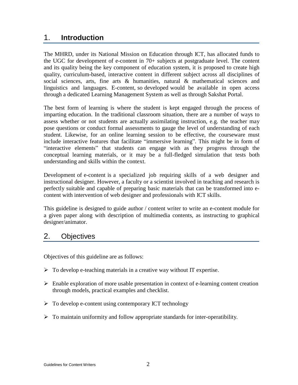# 1. **Introduction**

The MHRD, under its National Mission on Education through ICT, has allocated funds to the UGC for development of e-content in 70+ subjects at postgraduate level. The content and its quality being the key component of education system, it is proposed to create high quality, curriculum-based, interactive content in different subject across all disciplines of social sciences, arts, fine arts & humanities, natural & mathematical sciences and linguistics and languages. E-content, so developed would be available in open access through a dedicated Learning Management System as well as through Sakshat Portal.

The best form of learning is where the student is kept engaged through the process of imparting education. In the traditional classroom situation, there are a number of ways to assess whether or not students are actually assimilating instruction, e.g. the teacher may pose questions or conduct formal assessments to gauge the level of understanding of each student. Likewise, for an online learning session to be effective, the courseware must include interactive features that facilitate "immersive learning". This might be in form of "interactive elements" that students can engage with as they progress through the conceptual learning materials, or it may be a full-fledged simulation that tests both understanding and skills within the context.

Development of e-content is a specialized job requiring skills of a web designer and instructional designer. However, a faculty or a scientist involved in teaching and research is perfectly suitable and capable of preparing basic materials that can be transformed into econtent with intervention of web designer and professionals with ICT skills.

This guideline is designed to guide author / content writer to write an e-content module for a given paper along with description of multimedia contents, as instructing to graphical designer/animator.

## 2. Objectives

Objectives of this guideline are as follows:

- $\triangleright$  To develop e-teaching materials in a creative way without IT expertise.
- $\triangleright$  Enable exploration of more usable presentation in context of e-learning content creation through models, practical examples and checklist.
- $\triangleright$  To develop e-content using contemporary ICT technology
- $\triangleright$  To maintain uniformity and follow appropriate standards for inter-operatibility.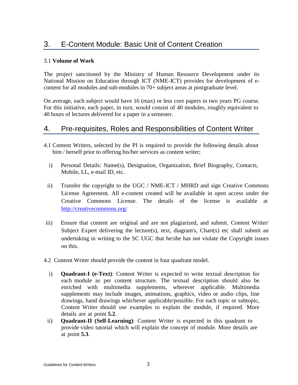# 3. E-Content Module: Basic Unit of Content Creation

#### 3.1 **Volume of Work**

The project sanctioned by the Ministry of Human Resource Development under its National Mission on Education through ICT (NME-ICT) provides for development of econtent for all modules and sub-modules in 70+ subject areas at postgraduate level.

On average, each subject would have 16 (max) or less core papers in two years PG course. For this initiative, each paper, in turn, would consist of 40 modules, roughly equivalent to 40 hours of lectures delivered for a paper in a semester.

## 4. Pre-requisites, Roles and Responsibilities of Content Writer

- 4.1 Content Writers, selected by the PI is required to provide the following details about him / herself prior to offering his/her services as content writer;
	- i) Personal Details: Name(s), Designation, Organization, Brief Biography, Contacts, Mobile, LL, e-mail ID, etc.
- ii) Transfer the copyright to the UGC / NME-ICT / MHRD and sign Creative Commons License Agreement. All e-content created will be available in open access under the Creative Commons License. The details of the license is available at <http://creativecommons.org/>
- iii) Ensure that content are original and are not plagiarized, and submit. Content Writer/ Subject Expert delivering the lecture(s), text, diagram's, Chart(s) etc shall submit an undertaking in writing to the SC UGC that he/she has not violate the Copyright issues on this.
- 4.2 Content Writer should provide the content in four quadrant model.
	- i) **Quadrant-I (e-Text)**: Content Writer is expected to write textual description for each module as per content structure. The textual description should also be enriched with multimedia supplements, wherever applicable. Multimedia supplements may include images, animations, graphics, video or audio clips, line drawings, hand drawings whichever applicable/possible. For each topic or subtopic, Content Writer should use examples to explain the module, if required. More details are at point **5.2**.
- ii) **Quadrant-II (Self-Learning)**: Content Writer is expected in this quadrant to provide video tutorial which will explain the concept of module. More details are at point **5.3**.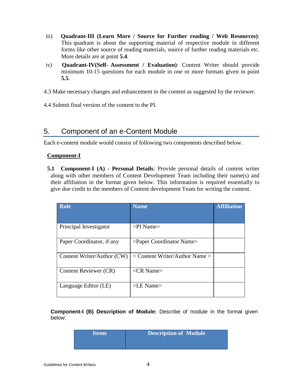- iii) **Quadrant-III (Learn More / Source for Further reading / Web Resources)**: This quadrant is about the supporting material of respective module in different forms like other source of reading materials, source of further reading materials etc. More details are at point **5.4**.
- iv) **Quadrant-IV(Self- Assessment / Evaluation)**: Content Writer should provide minimum 10-15 questions for each module in one or more formats given in point **5.5**.
- 4.3 Make necessary changes and enhancement in the content as suggested by the reviewer.

4.4 Submit final version of the content to the PI.

## 5. Component of an e-Content Module

Each e-content module would consist of following two components described below.

#### **Component-I**

**5.1 Component-I (A) - Personal Details**: Provide personal details of content writer along with other members of Content Development Team including their name(s) and their affiliation in the format given below. This information is required essentially to give due credit to the members of Content development Team for writing the content.

| <b>Role</b>                | <b>Name</b>                            | <b>Affiliation</b> |
|----------------------------|----------------------------------------|--------------------|
|                            |                                        |                    |
| Principal Investigator     | $\langle$ PI Name $\rangle$            |                    |
| Paper Coordinator, if any  | <paper coordinator="" name=""></paper> |                    |
| Content Writer/Author (CW) | < Content Writer/Author Name >         |                    |
| Content Reviewer (CR)      | $\langle$ CR Name $\rangle$            |                    |
| Language Editor (LE)       | <le name=""></le>                      |                    |

**Component-I (B) Description of Module:** Describe of module in the format given below:

| <b>Titems</b> | <b>Description of Module</b> |
|---------------|------------------------------|
|               |                              |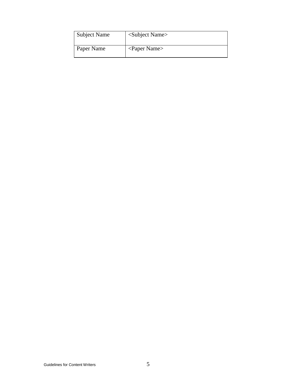| <b>Subject Name</b> | <subject name=""></subject>    |
|---------------------|--------------------------------|
| Paper Name          | $\langle$ Paper Name $\rangle$ |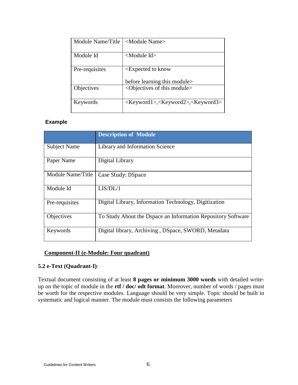| Module Name/Title | <module name=""></module>                                         |  |
|-------------------|-------------------------------------------------------------------|--|
|                   |                                                                   |  |
| Module Id         | $\leq$ Module Id $>$                                              |  |
|                   |                                                                   |  |
| Pre-requisites    | <expected know<="" td="" to=""></expected>                        |  |
|                   |                                                                   |  |
|                   | before learning this module                                       |  |
| Objectives        | <objectives module="" of="" this=""></objectives>                 |  |
| Keywords          | <keyword1>,<keyword2>,<keyword3></keyword3></keyword2></keyword1> |  |
|                   |                                                                   |  |

#### **Example**

|                     | <b>Description of Module</b>                                 |
|---------------------|--------------------------------------------------------------|
| <b>Subject Name</b> | Library and Information Science                              |
| Paper Name          | Digital Library                                              |
| Module Name/Title   | Case Study: DSpace                                           |
| Module Id           | LIS/DL/1                                                     |
| Pre-requisites      | Digital Library, Information Technology, Digitization        |
| Objectives          | To Study About the Dspace an Information Repository Software |
| Keywords            | Digital library, Archiving, DSpace, SWORD, Metadata          |

#### **Component-II (e-Module: Four quadrant)**

#### **5.2 e-Text (Quadrant-I)**:

Textual document consisting of at least **8 pages or minimum 3000 words** with detailed writeup on the topic of module in the **rtf / doc/ odt format**. Moreover, number of words / pages must be worth for the respective modules. Language should be very simple. Topic should be built in systematic and logical manner. The module must consists the following parameters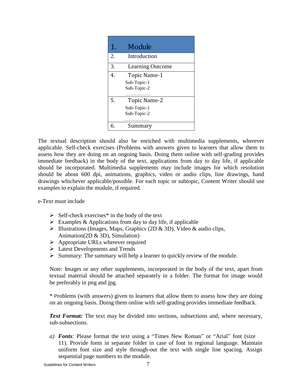| 1. | Module                                            |  |
|----|---------------------------------------------------|--|
| 2. | Introduction                                      |  |
| 3. | Learning Outcome                                  |  |
| 4. | Topic Name-1<br>Sub-Topic-1<br>Sub-Topic-2        |  |
| 5. | <b>Topic Name-2</b><br>Sub-Topic-1<br>Sub-Topic-2 |  |
|    | Summary                                           |  |

The textual description should also be enriched with multimedia supplements, wherever applicable. Self-check exercises (Problems with answers given to learners that allow them to assess how they are doing on an ongoing basis. Doing them online with self-grading provides immediate feedback) in the body of the text, applications from day to day life, if applicable should be incorporated. Multimedia supplements may include images for which resolution should be about 600 dpi, animations, graphics, video or audio clips, line drawings, hand drawings whichever applicable/possible. For each topic or subtopic, Content Writer should use examples to explain the module, if required.

e-Text must include

- $\triangleright$  Self-check exercises<sup>\*</sup> in the body of the text
- $\triangleright$  Examples & Applications from day to day life, if applicable
- $\triangleright$  Illustrations (Images, Maps, Graphics (2D & 3D), Video & audio clips, Animation(2D & 3D), Simulation)
- $\triangleright$  Appropriate URLs wherever required
- $\triangleright$  Latest Developments and Trends
- $\triangleright$  Summary: The summary will help a learner to quickly review of the module.

Note: Images or any other supplements, incorporated in the body of the text, apart from textual material should be attached separately in a folder. The format for image would be preferably in png and jpg.

\* Problems (with answers) given to learners that allow them to assess how they are doing on an ongoing basis. Doing them online with self-grading provides immediate feedback.

*Text Format:* The text may be divided into sections, subsections and, where necessary, sub-subsections.

*a) Fonts:* Please format the text using a "Times New Roman" or "Arial" font (size 11). Provide fonts in separate folder in case of font in regional language. Maintain uniform font size and style through-out the text with single line spacing. Assign sequential page numbers to the module.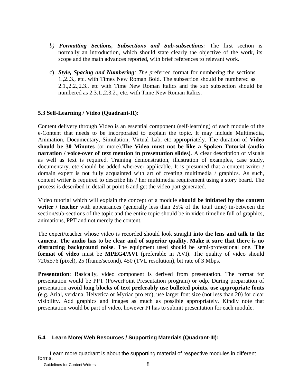- *b) Formatting Sections, Subsections and Sub-subsections:* The first section is normally an introduction, which should state clearly the objective of the work, its scope and the main advances reported, with brief references to relevant work.
- c) *Style, Spacing and Numbering: The p*referred format for numbering the sections 1.,2.,3., etc. with Times New Roman Bold. The subsection should be numbered as 2.1.,2.2.,2.3., etc with Time New Roman Italics and the sub subsection should be numbered as  $2.3.1, 2.3.2$ , etc. with Time New Roman Italics.

#### **5.3 Self-Learning / Video (Quadrant-II)**:

Content delivery through Video is an essential component (self-learning) of each module of the e-Content that needs to be incorporated to explain the topic. It may include Multimedia, Animation, Documentary, Simulation, Virtual Lab, etc appropriately. The duration of **Video should be 30 Minutes** (or more).**The Video must not be like a Spoken Tutorial (audio narration / voice-over of text mention in presentation slides)**. A clear description of visuals as well as text is required. Training demonstration, illustration of examples, case study, documentary, etc should be added wherever applicable. It is presumed that a content writer / domain expert is not fully acquainted with art of creating multimedia / graphics. As such, content writer is required to describe his / her multimedia requirement using a story board. The process is described in detail at point 6 and get the video part generated.

Video tutorial which will explain the concept of a module **should be initiated by the content writer / teacher** with appearances (generally less than 25% of the total time) in-between the section/sub-sections of the topic and the entire topic should be in video timeline full of graphics, animations, PPT and not merely the content.

The expert/teacher whose video is recorded should look straight **into the lens and talk to the camera. The audio has to be clear and of superior quality. Make it sure that there is no distracting background noise**. The equipment used should be semi-professional one. **The format of video** must be **MPEG4/AVI** (preferable in AVI). The quality of video should 720x576 (pixel), 25 (frame/second), 450 (TVL resolution), bit rate of 3 Mbps.

**Presentation**: Basically, video component is derived from presentation. The format for presentation would be PPT (PowerPoint Presentation program) or odp. During preparation of presentation **avoid long blocks of text preferably use bulleted points, use appropriate fonts (e**.g. Arial, verdana, Helvetica or Myriad pro etc), use larger font size (not less than 20) for clear visibility. Add graphics and images as much as possible appropriately. Kindly note that presentation would be part of video, however PI has to submit presentation for each module.

#### **5.4 Learn More/ Web Resources / Supporting Materials (Quadrant-III):**

 Learn more quadrant is about the supporting material of respective modules in different forms.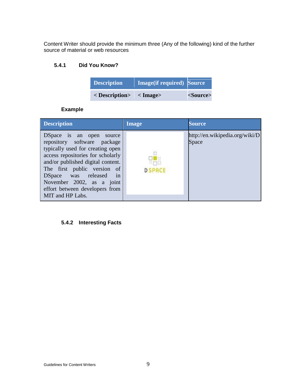Content Writer should provide the minimum three (Any of the following) kind of the further source of material or web resources

#### **5.4.1 Did You Know?**

| <b>Description</b>      | Image(if required) Source |           |
|-------------------------|---------------------------|-----------|
| < Description> < Image> |                           | <source/> |

#### **Example**

| <b>Description</b>                                                                                                                                                                                                                                                                                                      | <b>Image</b> | Source                                  |
|-------------------------------------------------------------------------------------------------------------------------------------------------------------------------------------------------------------------------------------------------------------------------------------------------------------------------|--------------|-----------------------------------------|
| DSpace is an open<br>source<br>repository software package<br>typically used for creating open<br>access repositories for scholarly<br>and/or published digital content.<br>The first public version of<br>DSpace was released<br>in<br>November 2002, as a joint<br>effort between developers from<br>MIT and HP Labs. |              | http://en.wikipedia.org/wiki/D<br>Space |

## **5.4.2 Interesting Facts**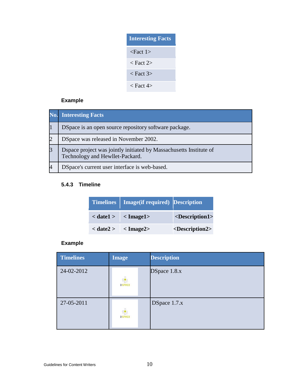| <b>Interesting Facts</b> |
|--------------------------|
| <fact 1=""></fact>       |
| $<$ Fact 2 $>$           |
| < Fact 3>                |
| < Fact 4>                |

# **Example**

| No.            | <b>Interesting Facts</b>                                                                              |  |
|----------------|-------------------------------------------------------------------------------------------------------|--|
|                | DSpace is an open source repository software package.                                                 |  |
| $\overline{2}$ | DSpace was released in November 2002.                                                                 |  |
| 3              | Dspace project was jointly initiated by Massachusetts Institute of<br>Technology and Hewllet-Packard. |  |
|                | DSpace's current user interface is web-based.                                                         |  |

#### **5.4.3 Timeline**

|  | Timelines   Image(if required) Description |                               |
|--|--------------------------------------------|-------------------------------|
|  | $\langle$ date1 > $\langle$ Image1 >       | <description1></description1> |
|  | $\langle$ date2 > $\langle$ Image2 >       | <description2></description2> |

| <b>Timelines</b> | Image                                                                        | <b>Description</b> |
|------------------|------------------------------------------------------------------------------|--------------------|
| 24-02-2012       | $\overline{B}^{\overline{\text{B}}}_{\overline{\text{B}}}$<br><b>D SPACE</b> | DSpace 1.8.x       |
| 27-05-2011       | $\overline{\mathbf{g}}_{\mathbf{B}}^{\mathbf{B}}$<br><b>D SPACE</b>          | DSpace 1.7.x       |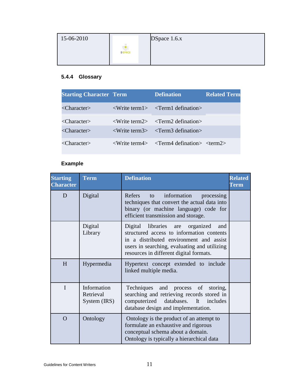| 15-06-2010 |                                                | DSpace 1.6x |
|------------|------------------------------------------------|-------------|
|            | $\Box$<br>9 <mark>0</mark> 8<br><b>D</b> SPACE |             |

# **5.4.4 Glossary**

| <b>Starting Character Term</b> | <b>Defination</b>                                                   | <b>Related Term</b> |
|--------------------------------|---------------------------------------------------------------------|---------------------|
| $\langle$ Character $\rangle$  | $\langle$ Write term1> $\langle$ Term1 defination>                  |                     |
| $\langle$ Character $\rangle$  | $\langle$ Write term2> $\langle$ Term2 defination>                  |                     |
| $\langle$ Character $\rangle$  | $\langle$ Write term3> $\langle$ Term3 defination>                  |                     |
| $\langle$ Character $\rangle$  | $\langle$ Write term4> $\langle$ Term4 defination> $\langle$ term2> |                     |

| <b>Starting</b><br><b>Character</b> | <b>Term</b>                              | <b>Defination</b>                                                                                                                                                                                                         | <b>Related</b><br><b>Term</b> |
|-------------------------------------|------------------------------------------|---------------------------------------------------------------------------------------------------------------------------------------------------------------------------------------------------------------------------|-------------------------------|
| D                                   | Digital                                  | Refers<br>information<br>to<br>processing<br>techniques that convert the actual data into<br>binary (or machine language) code for<br>efficient transmission and storage.                                                 |                               |
|                                     | Digital<br>Library                       | Digital libraries are organized<br>and<br>structured access to information contents<br>in a distributed environment and assist<br>users in searching, evaluating and utilizing<br>resources in different digital formats. |                               |
| H                                   | Hypermedia                               | Hypertext concept extended to include<br>linked multiple media.                                                                                                                                                           |                               |
| $\mathbf I$                         | Information<br>Retrieval<br>System (IRS) | Techniques<br>and process of<br>storing,<br>searching and retrieving records stored in<br>computerized databases.<br>It includes<br>database design and implementation.                                                   |                               |
| $\Omega$                            | Ontology                                 | Ontology is the product of an attempt to<br>formulate an exhaustive and rigorous<br>conceptual schema about a domain.<br>Ontology is typically a hierarchical data                                                        |                               |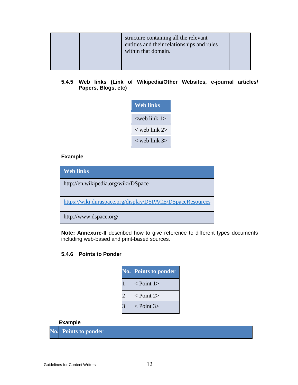#### **5.4.5 Web links (Link of Wikipedia/Other Websites, e-journal articles/ Papers, Blogs, etc)**

| Web links          |  |  |
|--------------------|--|--|
| $<$ web link 1 $>$ |  |  |
| $<$ web link 2 $>$ |  |  |
| $<$ web link 3>    |  |  |

#### **Example**

| <b>Web links</b>                                          |
|-----------------------------------------------------------|
| http://en.wikipedia.org/wiki/DSpace                       |
| https://wiki.duraspace.org/display/DSPACE/DSpaceResources |
| http://www.dspace.org/                                    |

**Note: Annexure-II** described how to give reference to different types documents including web-based and print-based sources.

#### **5.4.6 Points to Ponder**

| $\overline{\text{No}}.$ | <b>Points to ponder</b>     |
|-------------------------|-----------------------------|
|                         | $<$ Point 1>                |
|                         | $<$ Point 2>                |
|                         | $\langle$ Point 3 $\rangle$ |

#### **Example**

**No. Points to ponder**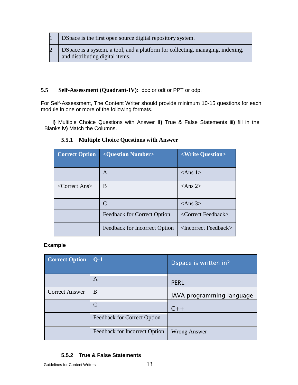|  | 1   DSpace is the first open source digital repository system.                                                        |
|--|-----------------------------------------------------------------------------------------------------------------------|
|  | 2   DSpace is a system, a tool, and a platform for collecting, managing, indexing,<br>and distributing digital items. |

#### **5.5 Self-Assessment (Quadrant-IV):** doc or odt or PPT or odp.

For Self-Assessment, The Content Writer should provide minimum 10-15 questions for each module in one or more of the following formats.

 **i)** Multiple Choice Questions with Answer **ii)** True & False Statements iii**)** fill in the Blanks i**v)** Match the Columns.

| <b>Correct Option</b>           | <question number=""></question> | <write question=""></write>         |
|---------------------------------|---------------------------------|-------------------------------------|
|                                 | A                               | $\langle$ Ans 1>                    |
| $\langle$ Correct Ans $\rangle$ | B                               | $\langle$ Ans 2>                    |
|                                 | $\mathcal{C}$                   | $<$ Ans 3>                          |
|                                 | Feedback for Correct Option     | <correct feedback=""></correct>     |
|                                 | Feedback for Incorrect Option   | <incorrect feedback=""></incorrect> |

#### **5.5.1 Multiple Choice Questions with Answer**

#### **Example**

| <b>Correct Option</b> | $Q-1$                         | Dspace is written in?     |
|-----------------------|-------------------------------|---------------------------|
|                       | A                             | <b>PERL</b>               |
| <b>Correct Answer</b> | B                             | JAVA programming language |
|                       | C                             | $C++$                     |
|                       | Feedback for Correct Option   |                           |
|                       | Feedback for Incorrect Option | <b>Wrong Answer</b>       |

#### **5.5.2 True & False Statements**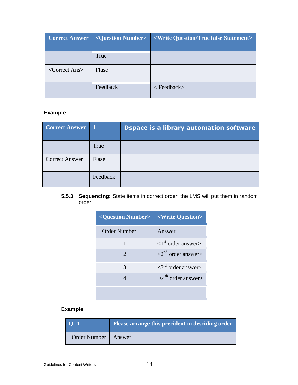| <b>Correct Answer</b>           | <question number=""></question> | <write false="" question="" statement="" true=""></write> |
|---------------------------------|---------------------------------|-----------------------------------------------------------|
|                                 | True                            |                                                           |
| $\langle$ Correct Ans $\rangle$ | Flase                           |                                                           |
|                                 | Feedback                        | $\langle$ Feedback $\rangle$                              |

## **Example**

| <b>Correct Answer</b> |          | <b>Dspace is a library automation software</b> |
|-----------------------|----------|------------------------------------------------|
|                       | True     |                                                |
| <b>Correct Answer</b> | Flase    |                                                |
|                       | Feedback |                                                |

**5.5.3 Sequencing:** State items in correct order, the LMS will put them in random order.

| <question number=""></question> | <write question=""></write>             |
|---------------------------------|-----------------------------------------|
| <b>Order Number</b>             | Answer                                  |
|                                 | $\langle 1^{st}$ order answer $\rangle$ |
| $\overline{2}$                  | $\langle 2^{nd} \rangle$ order answer   |
| 3                               | $\langle 3^{rd}$ order answer $\rangle$ |
|                                 | $\langle 4^{th}$ order answer $>$       |
|                                 |                                         |

| $\overline{Q}$ -1 | Please arrange this precident in desciding order |
|-------------------|--------------------------------------------------|
| Order Number      | Answer                                           |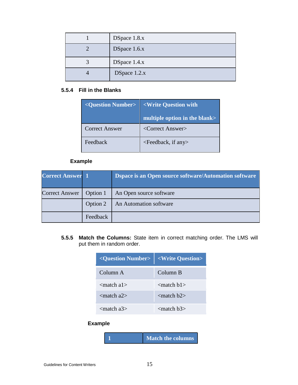| DSpace 1.8.x   |
|----------------|
| DSpace 1.6.x   |
| DSpace 1.4.x   |
| DSpace $1.2.x$ |

#### **5.5.4 Fill in the Blanks**

| <question number=""></question> | <write question="" th="" with<=""></write> |
|---------------------------------|--------------------------------------------|
|                                 | multiple option in the blank>              |
| <b>Correct Answer</b>           | <correct answer=""></correct>              |
| Feedback                        | <feedback, any="" if=""></feedback,>       |

## **Example**

| <b>Correct Answer 1</b> |          | Dspace is an Open source software/Automation software |
|-------------------------|----------|-------------------------------------------------------|
| <b>Correct Answer</b>   | Option 1 | An Open source software                               |
|                         | Option 2 | An Automation software                                |
|                         | Feedback |                                                       |

**5.5.5 Match the Columns:** State item in correct matching order. The LMS will put them in random order.

| <question number="">   <write question=""></write></question> |                         |
|---------------------------------------------------------------|-------------------------|
| Column A                                                      | Column B                |
| $\epsilon$ and $\epsilon$ and $\epsilon$                      | $<$ match b1 $>$        |
| $\epsilon$ match a $2\epsilon$                                | $\epsilon$ match b2 $>$ |
| $\epsilon$ match a3>                                          | $<$ match b $3>$        |

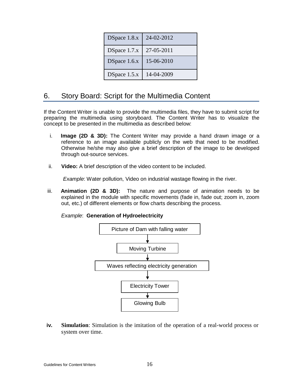| DSpace 1.8.x | 24-02-2012 |
|--------------|------------|
| DSpace 1.7.x | 27-05-2011 |
| DSpace 1.6.x | 15-06-2010 |
| DSpace 1.5.x | 14-04-2009 |

# 6. Story Board: Script for the Multimedia Content

If the Content Writer is unable to provide the multimedia files, they have to submit script for preparing the multimedia using storyboard. The Content Writer has to visualize the concept to be presented in the multimedia as described below:

- i. **Image (2D & 3D):** The Content Writer may provide a hand drawn image or a reference to an image available publicly on the web that need to be modified. Otherwise he/she may also give a brief description of the image to be developed through out-source services.
- ii. **Video:** A brief description of the video content to be included.

*Example*: Water pollution, Video on industrial wastage flowing in the river.

iii. **Animation (2D & 3D):** The nature and purpose of animation needs to be explained in the module with specific movements (fade in, fade out; zoom in, zoom out, etc.) of different elements or flow charts describing the process.

*Example*: **Generation of Hydroelectricity**



**iv. Simulation**: Simulation is the imitation of the operation of a real-world process or system over time.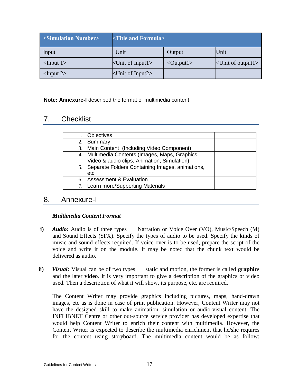| $\sim$ Simulation Number    | <title and="" formula=""></title> |                            |                            |
|-----------------------------|-----------------------------------|----------------------------|----------------------------|
| Input                       | Unit                              | Output                     | Unit                       |
| $\langle$ Input 1>          | $\langle$ Unit of Input1>         | $\langle$ Output $\vert$ > | $\le$ Unit of output $1$ > |
| $\langle$ Input 2 $\rangle$ | $\langle$ Unit of Input2 $>$      |                            |                            |

**Note: Annexure-I** described the format of multimedia content

# 7. Checklist

| Objectives                                         |  |
|----------------------------------------------------|--|
| 2. Summary                                         |  |
| 3. Main Content (Including Video Component)        |  |
| 4. Multimedia Contents (Images, Maps, Graphics,    |  |
| Video & audio clips, Animation, Simulation)        |  |
| 5. Separate Folders Containing Images, animations, |  |
| etc                                                |  |
| 6. Assessment & Evaluation                         |  |
| 7. Learn more/Supporting Materials                 |  |
|                                                    |  |

## 8. Annexure-I

#### *Multimedia Content Format*

- **i)** *Audio:* Audio is of three types Narration or Voice Over (VO), Music/Speech (M) and Sound Effects (SFX). Specify the types of audio to be used. Specify the kinds of music and sound effects required. If voice over is to be used, prepare the script of the voice and write it on the module. It may be noted that the chunk text would be delivered as audio.
- **ii**) *Visual:* Visual can be of two types –– static and motion, the former is called **graphics** and the later **video**. It is very important to give a description of the graphics or video used. Then a description of what it will show, its purpose, etc. are required.

The Content Writer may provide graphics including pictures, maps, hand-drawn images, etc as is done in case of print publication. However, Content Writer may not have the designed skill to make animation, simulation or audio-visual content. The INFLIBNET Centre or other out-source service provider has developed expertise that would help Content Writer to enrich their content with multimedia. However, the Content Writer is expected to describe the multimedia enrichment that he/she requires for the content using storyboard. The multimedia content would be as follow: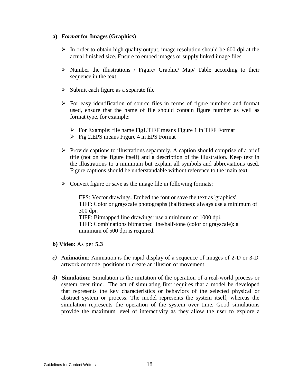#### **a)** *Format* **for Images (Graphics)**

- $\triangleright$  In order to obtain high quality output, image resolution should be 600 dpi at the actual finished size. Ensure to embed images or supply linked image files.
- $\triangleright$  Number the illustrations / Figure/ Graphic/ Map/ Table according to their sequence in the text
- $\triangleright$  Submit each figure as a separate file
- $\triangleright$  For easy identification of source files in terms of figure numbers and format used, ensure that the name of file should contain figure number as well as format type, for example:
	- $\triangleright$  For Example: file name Fig1.TIFF means Figure 1 in TIFF Format
	- $\triangleright$  Fig 2.EPS means Figure 4 in EPS Format
- $\triangleright$  Provide captions to illustrations separately. A caption should comprise of a brief title (not on the figure itself) and a description of the illustration. Keep text in the illustrations to a minimum but explain all symbols and abbreviations used. Figure captions should be understandable without reference to the main text.
- $\triangleright$  Convert figure or save as the image file in following formats:

EPS: Vector drawings. Embed the font or save the text as 'graphics'. TIFF: Color or grayscale photographs (halftones): always use a minimum of 300 dpi. TIFF: Bitmapped line drawings: use a minimum of 1000 dpi. TIFF: Combinations bitmapped line/half-tone (color or grayscale): a minimum of 500 dpi is required.

- **b) Video**: As per **5.3**
- *c)* **Animation**: Animation is the rapid display of a sequence of images of 2-D or 3-D artwork or model positions to create an illusion of movement.
- *d)* **Simulation**: Simulation is the imitation of the operation of a real-world process or system over time. The act of simulating first requires that a model be developed that represents the key characteristics or behaviors of the selected physical or abstract system or process. The model represents the system itself, whereas the simulation represents the operation of the system over time. Good simulations provide the maximum level of interactivity as they allow the user to explore a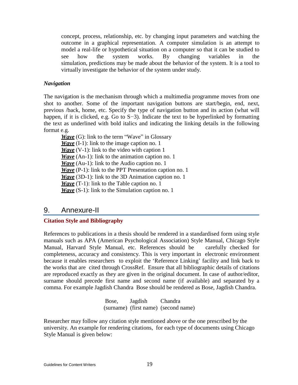concept, process, relationship, etc. by changing input parameters and watching the outcome in a graphical representation. A computer simulation is an attempt to model a real-life or hypothetical situation on a computer so that it can be studied to see how the system works. By changing variables in the simulation, predictions may be made about the behavior of the system. It is a tool to virtually investigate the behavior of the system under study.

#### *Navigation*

The navigation is the mechanism through which a multimedia programme moves from one shot to another. Some of the important navigation buttons are start/begin, end, next, previous /back, home, etc. Specify the type of navigation button and its action (what will happen, if it is clicked, e.g. Go to S−3). Indicate the text to be hyperlinked by formatting the text as underlined with bold italics and indicating the linking details in the following format e.g.

*Wave* (G): link to the term "Wave" in Glossary *Wave* (I-1): link to the image caption no. 1 *Wave* (V-1): link to the video with caption 1 *Wave* (An-1): link to the animation caption no. 1 *Wave* (Au-1): link to the Audio caption no. 1 *Wave* (P-1): link to the PPT Presentation caption no. 1 *Wave* (3D-1): link to the 3D Animation caption no. 1 *Wave* (T-1): link to the Table caption no. 1 *Wave* (S-1): link to the Simulation caption no. 1

## 9. Annexure-II

#### **Citation Style and Bibliography**

References to publications in a thesis should be rendered in a standardised form using style manuals such as APA (American Psychological Association) Style Manual, Chicago Style Manual, Harvard Style Manual, etc. References should be carefully checked for completeness, accuracy and consistency. This is very important in electronic environment because it enables researchers to exploit the 'Reference Linking' facility and link back to the works that are cited through CrossRef. Ensure that all bibliographic details of citations are reproduced exactly as they are given in the original document. In case of author/editor, surname should precede first name and second name (if available) and separated by a comma. For example Jagdish Chandra Bose should be rendered as Bose, Jagdish Chandra.

> Bose, Jagdish Chandra (surname) (first name) (second name)

Researcher may follow any citation style mentioned above or the one prescribed by the university. An example for rendering citations, for each type of documents using Chicago Style Manual is given below: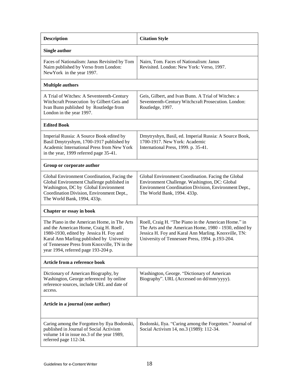| <b>Description</b>                                                                                                                                                                                                                                                   | <b>Citation Style</b>                                                                                                                                                                                                     |  |  |
|----------------------------------------------------------------------------------------------------------------------------------------------------------------------------------------------------------------------------------------------------------------------|---------------------------------------------------------------------------------------------------------------------------------------------------------------------------------------------------------------------------|--|--|
| <b>Single author</b>                                                                                                                                                                                                                                                 |                                                                                                                                                                                                                           |  |  |
| Faces of Nationalism: Janus Revisited by Tom<br>Nairn published by Verso from London:<br>NewYork in the year 1997.                                                                                                                                                   | Nairn, Tom. Faces of Nationalism: Janus<br>Revisited. London: New York: Verso, 1997.                                                                                                                                      |  |  |
| <b>Multiple authors</b>                                                                                                                                                                                                                                              |                                                                                                                                                                                                                           |  |  |
| A Trial of Witches: A Seventeenth-Century<br>Witchcraft Prosecution by Gilbert Geis and<br>Ivan Bunn published by Routledge from<br>London in the year 1997.                                                                                                         | Geis, Gilbert, and Ivan Bunn. A Trial of Witches: a<br>Seventeenth-Century Witchcraft Prosecution. London:<br>Routledge, 1997.                                                                                            |  |  |
| <b>Edited Book</b>                                                                                                                                                                                                                                                   |                                                                                                                                                                                                                           |  |  |
| Imperial Russia: A Source Book edited by<br>Basil Dmytryshym, 1700-1917 published by<br>Academic International Press from New York<br>in the year, 1999 referred page 35-41.                                                                                         | Dmytryshyn, Basil, ed. Imperial Russia: A Source Book,<br>1700-1917. New York: Academic<br>International Press, 1999. p. 35-41.                                                                                           |  |  |
| Group or corporate author                                                                                                                                                                                                                                            |                                                                                                                                                                                                                           |  |  |
| Global Environment Coordination, Facing the<br>Global Environment Challenge published in<br>Washington, DC by Global Environment<br>Coordination Division, Environment Dept.,<br>The World Bank, 1994, 433p.                                                         | Global Environment Coordination. Facing the Global<br>Environment Challenge. Washington, DC: Global<br>Environment Coordination Division, Environment Dept.,<br>The World Bank, 1994. 433p.                               |  |  |
| Chapter or essay in book                                                                                                                                                                                                                                             |                                                                                                                                                                                                                           |  |  |
| The Piano in the American Home, in The Arts<br>and the American Home, Craig H. Roell,<br>1980-1930, edited by Jessica H. Foy and<br>Karal Ann Marling published by University<br>of Tennessee Press from Knoxville, TN in the<br>year 1994, referred page 193-204 p. | Roell, Craig H. "The Piano in the American Home." in<br>The Arts and the American Home, 1980 - 1930, edited by<br>Jessica H. Foy and Karal Ann Marling. Knoxville, TN:<br>University of Tennessee Press, 1994. p.193-204. |  |  |
| Article from a reference book                                                                                                                                                                                                                                        |                                                                                                                                                                                                                           |  |  |
| Dictionary of American Biography, by<br>Washington, George referenced by online<br>reference sources, include URL and date of<br>access.                                                                                                                             | Washington, George. "Dictionary of American<br>Biography". URL (Accessed on dd/mm/yyyy).                                                                                                                                  |  |  |
| Article in a journal (one author)                                                                                                                                                                                                                                    |                                                                                                                                                                                                                           |  |  |
| Caring among the Forgotten by Ilya Bodonski,                                                                                                                                                                                                                         | Bodonski, Ilya. "Caring among the Forgotten." Journal of                                                                                                                                                                  |  |  |
| published in Journal of Social Activism<br>volume 14 in issue no.3 of the year 1989,<br>referred page 112-34.                                                                                                                                                        | Social Activism 14, no.3 (1989): 112-34.                                                                                                                                                                                  |  |  |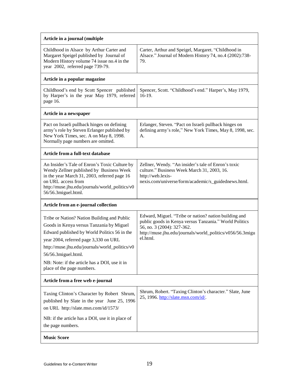| Article in a journal (multiple                                                                                                                                                                                                                                                                                                            |                                                                                                                                                                                                                        |  |  |
|-------------------------------------------------------------------------------------------------------------------------------------------------------------------------------------------------------------------------------------------------------------------------------------------------------------------------------------------|------------------------------------------------------------------------------------------------------------------------------------------------------------------------------------------------------------------------|--|--|
| Childhood in Alsace by Arthur Carter and<br>Margaret Speigel published by Journal of<br>Modern History volume 74 issue no.4 in the<br>year 2002, referred page 739-79.                                                                                                                                                                    | Carter, Arthur and Speigel, Margaret. "Childhood in<br>Alsace." Journal of Modern History 74, no.4 (2002):738-<br>79.                                                                                                  |  |  |
| Article in a popular magazine                                                                                                                                                                                                                                                                                                             |                                                                                                                                                                                                                        |  |  |
| Childhood's end by Scott Spencer published<br>by Harper's in the year May 1979, referred<br>page 16.                                                                                                                                                                                                                                      | Spencer, Scott. "Childhood's end." Harper's, May 1979,<br>$16-19.$                                                                                                                                                     |  |  |
| Article in a newspaper                                                                                                                                                                                                                                                                                                                    |                                                                                                                                                                                                                        |  |  |
| Pact on Israeli pullback hinges on defining<br>army's role by Steven Erlanger published by<br>New York Times, sec. A on May 8, 1998.<br>Normally page numbers are omitted.                                                                                                                                                                | Erlanger, Steven. "Pact on Israeli pullback hinges on<br>defining army's role," New York Times, May 8, 1998, sec.<br>А.                                                                                                |  |  |
| Article from a full-text database                                                                                                                                                                                                                                                                                                         |                                                                                                                                                                                                                        |  |  |
| An Insider's Tale of Enron's Toxic Culture by<br>Wendy Zellner published by Business Week<br>in the year March 31, 2003, referred page 16<br>on URL access from<br>http://muse.jhu.edu/journals/world_politics/v0<br>56/56.3 miguel.html.                                                                                                 | Zellner, Wendy. "An insider's tale of Enron's toxic<br>culture." Business Week March 31, 2003, 16.<br>http://web.lexis-<br>nexis.com/universe/form/academic/s_guidednews.html.                                         |  |  |
| Article from an e-journal collection                                                                                                                                                                                                                                                                                                      |                                                                                                                                                                                                                        |  |  |
| Tribe or Nation? Nation Building and Public<br>Goods in Kenya versus Tanzania by Miguel<br>Edward published by World Politics 56 in the<br>year 2004, referred page 3,330 on URL<br>http://muse.jhu.edu/journals/world_politics/v0<br>56/56.3 miguel.html.<br>NB: Note: if the article has a DOI, use it in<br>place of the page numbers. | Edward, Miguel. "Tribe or nation? nation building and<br>public goods in Kenya versus Tanzania." World Politics<br>56, no. 3 (2004): 327-362.<br>http://muse.jhu.edu/journals/world_politics/v056/56.3migu<br>el.html. |  |  |
| Article from a free web e-journal                                                                                                                                                                                                                                                                                                         |                                                                                                                                                                                                                        |  |  |
| Taxing Clinton's Character by Robert Shrum,<br>published by Slate in the year June 25, 1996<br>on URL http://slate.msn.com/id/1573/                                                                                                                                                                                                       | Shrum, Robert. "Taxing Clinton's character." Slate, June<br>25, 1996. http://slate.msn.com/id/.                                                                                                                        |  |  |
| NB: if the article has a DOI, use it in place of<br>the page numbers.                                                                                                                                                                                                                                                                     |                                                                                                                                                                                                                        |  |  |
| <b>Music Score</b>                                                                                                                                                                                                                                                                                                                        |                                                                                                                                                                                                                        |  |  |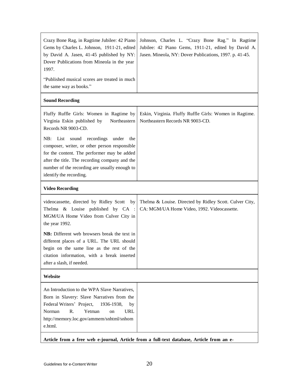| Crazy Bone Rag, in Ragtime Jubilee: 42 Piano<br>Gems by Charles L. Johnson, 1911-21, edited<br>by David A. Jasen, 41-45 published by NY:<br>Dover Publications from Mineola in the year<br>1997.                                                                           | Johnson, Charles L. "Crazy Bone Rag." In Ragtime<br>Jubilee: 42 Piano Gems, 1911-21, edited by David A.<br>Jasen. Mineola, NY: Dover Publications, 1997. p. 41-45. |
|----------------------------------------------------------------------------------------------------------------------------------------------------------------------------------------------------------------------------------------------------------------------------|--------------------------------------------------------------------------------------------------------------------------------------------------------------------|
| "Published musical scores are treated in much<br>the same way as books."                                                                                                                                                                                                   |                                                                                                                                                                    |
| <b>Sound Recording</b>                                                                                                                                                                                                                                                     |                                                                                                                                                                    |
| Fluffy Ruffle Girls: Women in Ragtime by<br>Virginia Eskin published by<br>Northeastern<br>Records NR 9003-CD.                                                                                                                                                             | Eskin, Virginia. Fluffy Ruffle Girls: Women in Ragtime.<br>Northeastern Records NR 9003-CD.                                                                        |
| List sound recordings<br>under<br>NB:<br>the<br>composer, writer, or other person responsible<br>for the content. The performer may be added<br>after the title. The recording company and the<br>number of the recording are usually enough to<br>identify the recording. |                                                                                                                                                                    |
| <b>Video Recording</b>                                                                                                                                                                                                                                                     |                                                                                                                                                                    |
| videocassette, directed by Ridley Scott<br>by<br>Thelma & Louise published by CA :<br>MGM/UA Home Video from Culver City in<br>the year 1992.                                                                                                                              | Thelma & Louise. Directed by Ridley Scott. Culver City,<br>CA: MGM/UA Home Video, 1992. Videocassette.                                                             |
| NB: Different web browsers break the text in<br>different places of a URL. The URL should<br>begin on the same line as the rest of the<br>citation information, with a break inserted<br>after a slash, if needed.                                                         |                                                                                                                                                                    |
| Website                                                                                                                                                                                                                                                                    |                                                                                                                                                                    |
| An Introduction to the WPA Slave Narratives.<br>Born in Slavery: Slave Narratives from the<br>Federal Writers' Project,<br>1936-1938,<br>by<br>R.<br>Norman<br>Yetman<br>URL<br>on<br>http://memory.loc.gov/ammem/snhtml/snhom<br>e.html.                                  |                                                                                                                                                                    |